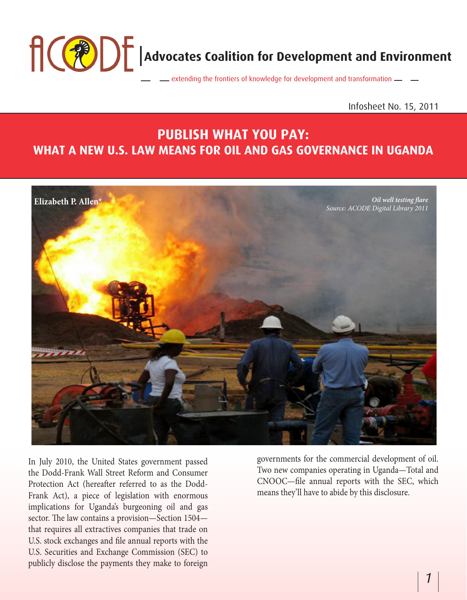**Advocates Coalition for Development and Environment** extending the frontiers of knowledge for development and transformation  $\equiv$ 

## Infosheet No. 15, 2011

# **PUBLISH WHAT YOU PAY: WHAT A NEW U.S. LAW MEANS FOR OIL AND GAS GOVERNANCE IN UGANDA**



In July 2010, the United States government passed the Dodd-Frank Wall Street Reform and Consumer Protection Act (hereafter referred to as the Dodd-Frank Act), a piece of legislation with enormous implications for Uganda's burgeoning oil and gas sector. The law contains a provision—Section 1504 that requires all extractives companies that trade on U.S. stock exchanges and file annual reports with the U.S. Securities and Exchange Commission (SEC) to publicly disclose the payments they make to foreign

governments for the commercial development of oil. Two new companies operating in Uganda—Total and CNOOC—file annual reports with the SEC, which means they'll have to abide by this disclosure.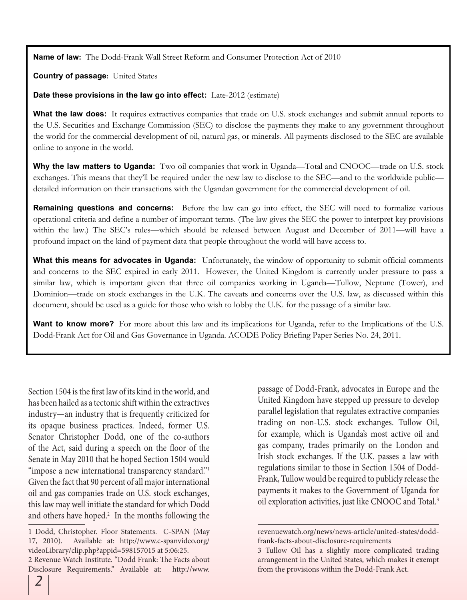**Name of law:**The Dodd-Frank Wall Street Reform and Consumer Protection Act of 2010

**Country of passage:** United States

**Date these provisions in the law go into effect:**Late-2012 (estimate)

What the law does: It requires extractives companies that trade on U.S. stock exchanges and submit annual reports to the U.S. Securities and Exchange Commission (SEC) to disclose the payments they make to any government throughout the world for the commercial development of oil, natural gas, or minerals. All payments disclosed to the SEC are available online to anyone in the world.

**Why the law matters to Uganda:** Two oil companies that work in Uganda—Total and CNOOC—trade on U.S. stock exchanges. This means that they'll be required under the new law to disclose to the SEC—and to the worldwide public detailed information on their transactions with the Ugandan government for the commercial development of oil.

**Remaining questions and concerns:** Before the law can go into effect, the SEC will need to formalize various operational criteria and define a number of important terms. (The law gives the SEC the power to interpret key provisions within the law.) The SEC's rules—which should be released between August and December of 2011—will have a profound impact on the kind of payment data that people throughout the world will have access to.

**What this means for advocates in Uganda:** Unfortunately, the window of opportunity to submit official comments and concerns to the SEC expired in early 2011. However, the United Kingdom is currently under pressure to pass a similar law, which is important given that three oil companies working in Uganda—Tullow, Neptune (Tower), and Dominion—trade on stock exchanges in the U.K. The caveats and concerns over the U.S. law, as discussed within this document, should be used as a guide for those who wish to lobby the U.K. for the passage of a similar law.

**Want to know more?** For more about this law and its implications for Uganda, refer to the Implications of the U.S. Dodd-Frank Act for Oil and Gas Governance in Uganda. ACODE Policy Briefing Paper Series No. 24, 2011.

Section 1504 is the first law of its kind in the world, and has been hailed as a tectonic shift within the extractives industry—an industry that is frequently criticized for its opaque business practices. Indeed, former U.S. Senator Christopher Dodd, one of the co-authors of the Act, said during a speech on the floor of the Senate in May 2010 that he hoped Section 1504 would "impose a new international transparency standard." Given the fact that 90 percent of all major international oil and gas companies trade on U.S. stock exchanges, this law may well initiate the standard for which Dodd and others have hoped. $<sup>2</sup>$  In the months following the</sup>

passage of Dodd-Frank, advocates in Europe and the United Kingdom have stepped up pressure to develop parallel legislation that regulates extractive companies trading on non-U.S. stock exchanges. Tullow Oil, for example, which is Uganda's most active oil and gas company, trades primarily on the London and Irish stock exchanges. If the U.K. passes a law with regulations similar to those in Section 1504 of Dodd-Frank, Tullow would be required to publicly release the payments it makes to the Government of Uganda for oil exploration activities, just like CNOOC and Total.3

<sup>1</sup> Dodd, Christopher. Floor Statements. C-SPAN (May 17, 2010). Available at: http://www.c-spanvideo.org/ videoLibrary/clip.php?appid=598157015 at 5:06:25.

<sup>2</sup> Revenue Watch Institute. "Dodd Frank: The Facts about Disclosure Requirements." Available at: http://www.

revenuewatch.org/news/news-article/united-states/doddfrank-facts-about-disclosure-requirements

<sup>3</sup> Tullow Oil has a slightly more complicated trading arrangement in the United States, which makes it exempt from the provisions within the Dodd-Frank Act.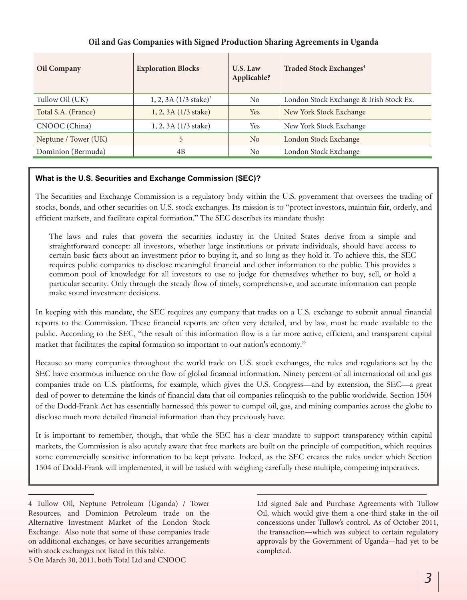| <b>Oil Company</b>   | <b>Exploration Blocks</b>         | U.S. Law<br>Applicable? | <b>Traded Stock Exchanges<sup>4</sup></b> |
|----------------------|-----------------------------------|-------------------------|-------------------------------------------|
| Tullow Oil (UK)      | 1, 2, 3A (1/3 stake) <sup>5</sup> | N <sub>o</sub>          | London Stock Exchange & Irish Stock Ex.   |
| Total S.A. (France)  | 1, 2, 3A (1/3 stake)              | <b>Yes</b>              | New York Stock Exchange                   |
| CNOOC (China)        | 1, 2, 3A (1/3 stake)              | Yes                     | New York Stock Exchange                   |
| Neptune / Tower (UK) | 5                                 | N <sub>0</sub>          | London Stock Exchange                     |
| Dominion (Bermuda)   | 4B                                | No                      | London Stock Exchange                     |

### **Oil and Gas Companies with Signed Production Sharing Agreements in Uganda**

#### **What is the U.S. Securities and Exchange Commission (SEC)?**

The Securities and Exchange Commission is a regulatory body within the U.S. government that oversees the trading of stocks, bonds, and other securities on U.S. stock exchanges. Its mission is to "protect investors, maintain fair, orderly, and efficient markets, and facilitate capital formation." The SEC describes its mandate thusly:

The laws and rules that govern the securities industry in the United States derive from a simple and straightforward concept: all investors, whether large institutions or private individuals, should have access to certain basic facts about an investment prior to buying it, and so long as they hold it. To achieve this, the SEC requires public companies to disclose meaningful financial and other information to the public. This provides a common pool of knowledge for all investors to use to judge for themselves whether to buy, sell, or hold a particular security. Only through the steady flow of timely, comprehensive, and accurate information can people make sound investment decisions.

In keeping with this mandate, the SEC requires any company that trades on a U.S. exchange to submit annual financial reports to the Commission. These financial reports are often very detailed, and by law, must be made available to the public. According to the SEC, "the result of this information flow is a far more active, efficient, and transparent capital market that facilitates the capital formation so important to our nation's economy."

Because so many companies throughout the world trade on U.S. stock exchanges, the rules and regulations set by the SEC have enormous influence on the flow of global financial information. Ninety percent of all international oil and gas companies trade on U.S. platforms, for example, which gives the U.S. Congress—and by extension, the SEC—a great deal of power to determine the kinds of financial data that oil companies relinquish to the public worldwide. Section 1504 of the Dodd-Frank Act has essentially harnessed this power to compel oil, gas, and mining companies across the globe to disclose much more detailed financial information than they previously have.

It is important to remember, though, that while the SEC has a clear mandate to support transparency within capital markets, the Commission is also acutely aware that free markets are built on the principle of competition, which requires some commercially sensitive information to be kept private. Indeed, as the SEC creates the rules under which Section 1504 of Dodd-Frank will implemented, it will be tasked with weighing carefully these multiple, competing imperatives.

4 Tullow Oil, Neptune Petroleum (Uganda) / Tower Resources, and Dominion Petroleum trade on the Alternative Investment Market of the London Stock Exchange. Also note that some of these companies trade on additional exchanges, or have securities arrangements with stock exchanges not listed in this table. 5 On March 30, 2011, both Total Ltd and CNOOC

Ltd signed Sale and Purchase Agreements with Tullow Oil, which would give them a one-third stake in the oil concessions under Tullow's control. As of October 2011, the transaction—which was subject to certain regulatory approvals by the Government of Uganda—had yet to be completed.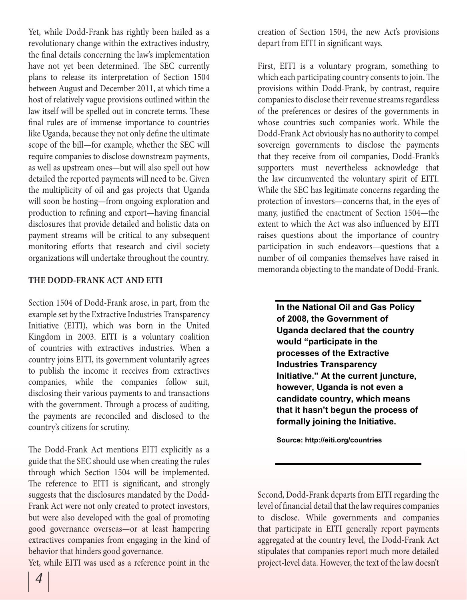Yet, while Dodd-Frank has rightly been hailed as a revolutionary change within the extractives industry, the final details concerning the law's implementation have not yet been determined. The SEC currently plans to release its interpretation of Section 1504 between August and December 2011, at which time a host of relatively vague provisions outlined within the law itself will be spelled out in concrete terms. These final rules are of immense importance to countries like Uganda, because they not only define the ultimate scope of the bill—for example, whether the SEC will require companies to disclose downstream payments, as well as upstream ones—but will also spell out how detailed the reported payments will need to be. Given the multiplicity of oil and gas projects that Uganda will soon be hosting—from ongoing exploration and production to refining and export—having financial disclosures that provide detailed and holistic data on payment streams will be critical to any subsequent monitoring efforts that research and civil society organizations will undertake throughout the country.

#### **THE DODD-FRANK ACT AND EITI**

Section 1504 of Dodd-Frank arose, in part, from the example set by the Extractive Industries Transparency Initiative (EITI), which was born in the United Kingdom in 2003. EITI is a voluntary coalition of countries with extractives industries. When a country joins EITI, its government voluntarily agrees to publish the income it receives from extractives companies, while the companies follow suit, disclosing their various payments to and transactions with the government. Through a process of auditing, the payments are reconciled and disclosed to the country's citizens for scrutiny.

The Dodd-Frank Act mentions EITI explicitly as a guide that the SEC should use when creating the rules through which Section 1504 will be implemented. The reference to EITI is significant, and strongly suggests that the disclosures mandated by the Dodd-Frank Act were not only created to protect investors, but were also developed with the goal of promoting good governance overseas—or at least hampering extractives companies from engaging in the kind of behavior that hinders good governance.

Yet, while EITI was used as a reference point in the

creation of Section 1504, the new Act's provisions depart from EITI in significant ways.

First, EITI is a voluntary program, something to which each participating country consents to join. The provisions within Dodd-Frank, by contrast, require companies to disclose their revenue streams regardless of the preferences or desires of the governments in whose countries such companies work. While the Dodd-Frank Act obviously has no authority to compel sovereign governments to disclose the payments that they receive from oil companies, Dodd-Frank's supporters must nevertheless acknowledge that the law circumvented the voluntary spirit of EITI. While the SEC has legitimate concerns regarding the protection of investors—concerns that, in the eyes of many, justified the enactment of Section 1504—the extent to which the Act was also influenced by EITI raises questions about the importance of country participation in such endeavors—questions that a number of oil companies themselves have raised in memoranda objecting to the mandate of Dodd-Frank.

**In the National Oil and Gas Policy of 2008, the Government of Uganda declared that the country would "participate in the processes of the Extractive Industries Transparency Initiative." At the current juncture, however, Uganda is not even a candidate country, which means that it hasn't begun the process of formally joining the Initiative.**

**Source: http://eiti.org/countries**

Second, Dodd-Frank departs from EITI regarding the level of financial detail that the law requires companies to disclose. While governments and companies that participate in EITI generally report payments aggregated at the country level, the Dodd-Frank Act stipulates that companies report much more detailed project-level data. However, the text of the law doesn't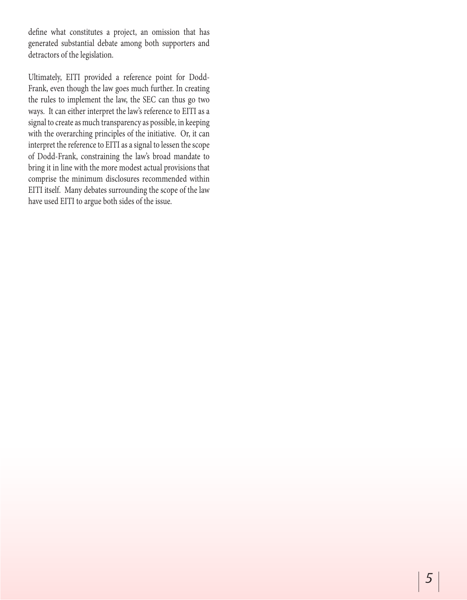define what constitutes a project, an omission that has generated substantial debate among both supporters and detractors of the legislation.

Ultimately, EITI provided a reference point for Dodd-Frank, even though the law goes much further. In creating the rules to implement the law, the SEC can thus go two ways. It can either interpret the law's reference to EITI as a signal to create as much transparency as possible, in keeping with the overarching principles of the initiative. Or, it can interpret the reference to EITI as a signal to lessen the scope of Dodd-Frank, constraining the law's broad mandate to bring it in line with the more modest actual provisions that comprise the minimum disclosures recommended within EITI itself. Many debates surrounding the scope of the law have used EITI to argue both sides of the issue.